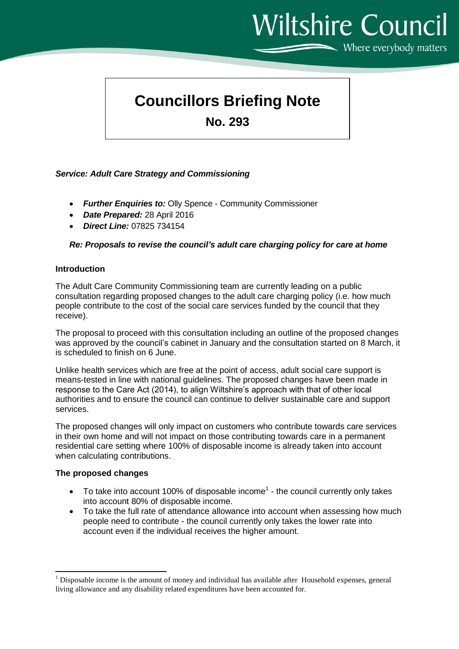# **Wiltshire Council** Where everybody matters

# **Councillors Briefing Note**

**No. 293**

# *Service: Adult Care Strategy and Commissioning*

- *Further Enquiries to:* Olly Spence Community Commissioner
- *Date Prepared:* 28 April 2016
- *Direct Line:* 07825 734154

# *Re: Proposals to revise the council's adult care charging policy for care at home*

#### **Introduction**

The Adult Care Community Commissioning team are currently leading on a public consultation regarding proposed changes to the adult care charging policy (i.e. how much people contribute to the cost of the social care services funded by the council that they receive).

The proposal to proceed with this consultation including an outline of the proposed changes was approved by the council's cabinet in January and the consultation started on 8 March, it is scheduled to finish on 6 June.

Unlike health services which are free at the point of access, adult social care support is means-tested in line with national guidelines. The proposed changes have been made in response to the Care Act (2014), to align Wiltshire's approach with that of other local authorities and to ensure the council can continue to deliver sustainable care and support services.

The proposed changes will only impact on customers who contribute towards care services in their own home and will not impact on those contributing towards care in a permanent residential care setting where 100% of disposable income is already taken into account when calculating contributions.

# **The proposed changes**

- To take into account 100% of disposable income<sup>1</sup> the council currently only takes into account 80% of disposable income.
- To take the full rate of attendance allowance into account when assessing how much people need to contribute - the council currently only takes the lower rate into account even if the individual receives the higher amount.

**<sup>.</sup>** <sup>1</sup> Disposable income is the amount of money and individual has available after Household expenses, general living allowance and any disability related expenditures have been accounted for.